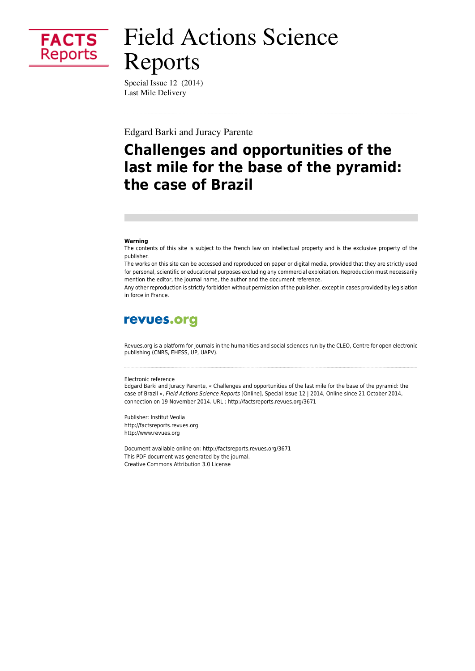

# **Field Actions Science** Reports

Special Issue 12 (2014) **Last Mile Delivery** 

**Edgard Barki and Juracy Parente** 

# **Challenges and opportunities of the** last mile for the base of the pyramid: the case of Brazil

#### Warning

The contents of this site is subject to the French law on intellectual property and is the exclusive property of the publisher.

The works on this site can be accessed and reproduced on paper or digital media, provided that they are strictly used for personal, scientific or educational purposes excluding any commercial exploitation. Reproduction must necessarily mention the editor, the journal name, the author and the document reference.

Any other reproduction is strictly forbidden without permission of the publisher, except in cases provided by legislation in force in France.

### revues.org

Revues.org is a platform for journals in the humanities and social sciences run by the CLEO, Centre for open electronic publishing (CNRS, EHESS, UP, UAPV).

#### Electronic reference

Edgard Barki and Juracy Parente, « Challenges and opportunities of the last mile for the base of the pyramid: the case of Brazil », Field Actions Science Reports [Online], Special Issue 12 | 2014, Online since 21 October 2014, connection on 19 November 2014. URL : http://factsreports.revues.org/3671

Publisher: Institut Veolia http://factsreports.revues.org http://www.revues.org

Document available online on: http://factsreports.revues.org/3671 This PDF document was generated by the journal. Creative Commons Attribution 3.0 License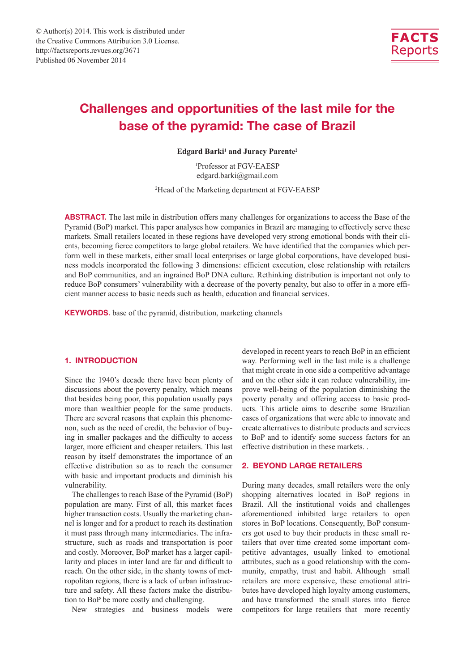

## **Challenges and opportunities of the last mile for the base of the pyramid: The case of Brazil**

Edgard Barki<sup>1</sup> and Juracy Parente<sup>2</sup>

1 Professor at FGV-EAESP edgard.barki@gmail.com

2 Head of the Marketing department at FGV-EAESP

**ABSTRACT.** The last mile in distribution offers many challenges for organizations to access the Base of the Pyramid (BoP) market. This paper analyses how companies in Brazil are managing to effectively serve these markets. Small retailers located in these regions have developed very strong emotional bonds with their clients, becoming fierce competitors to large global retailers. We have identified that the companies which perform well in these markets, either small local enterprises or large global corporations, have developed business models incorporated the following 3 dimensions: efficient execution, close relationship with retailers and BoP communities, and an ingrained BoP DNA culture. Rethinking distribution is important not only to reduce BoP consumers' vulnerability with a decrease of the poverty penalty, but also to offer in a more efficient manner access to basic needs such as health, education and financial services.

**KEYWORDS.** base of the pyramid, distribution, marketing channels

#### **1. INTRODUCTION**

Since the 1940's decade there have been plenty of discussions about the poverty penalty, which means that besides being poor, this population usually pays more than wealthier people for the same products. There are several reasons that explain this phenomenon, such as the need of credit, the behavior of buying in smaller packages and the difficulty to access larger, more efficient and cheaper retailers. This last reason by itself demonstrates the importance of an effective distribution so as to reach the consumer with basic and important products and diminish his vulnerability.

The challenges to reach Base of the Pyramid (BoP) population are many. First of all, this market faces higher transaction costs. Usually the marketing channel is longer and for a product to reach its destination it must pass through many intermediaries. The infrastructure, such as roads and transportation is poor and costly. Moreover, BoP market has a larger capillarity and places in inter land are far and difficult to reach. On the other side, in the shanty towns of metropolitan regions, there is a lack of urban infrastructure and safety. All these factors make the distribution to BoP be more costly and challenging.

New strategies and business models were

developed in recent years to reach BoP in an efficient way. Performing well in the last mile is a challenge that might create in one side a competitive advantage and on the other side it can reduce vulnerability, improve well-being of the population diminishing the poverty penalty and offering access to basic products. This article aims to describe some Brazilian cases of organizations that were able to innovate and create alternatives to distribute products and services to BoP and to identify some success factors for an effective distribution in these markets. .

#### **2. BEYOND LARGE RETAILERS**

During many decades, small retailers were the only shopping alternatives located in BoP regions in Brazil. All the institutional voids and challenges aforementioned inhibited large retailers to open stores in BoP locations. Consequently, BoP consumers got used to buy their products in these small retailers that over time created some important competitive advantages, usually linked to emotional attributes, such as a good relationship with the community, empathy, trust and habit. Although small retailers are more expensive, these emotional attributes have developed high loyalty among customers, and have transformed the small stores into fierce competitors for large retailers that more recently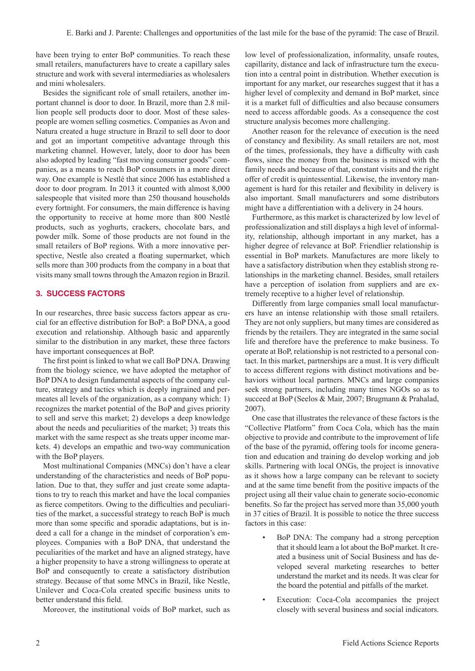have been trying to enter BoP communities. To reach these small retailers, manufacturers have to create a capillary sales structure and work with several intermediaries as wholesalers and mini wholesalers.

Besides the significant role of small retailers, another important channel is door to door. In Brazil, more than 2.8 million people sell products door to door. Most of these salespeople are women selling cosmetics. Companies as Avon and Natura created a huge structure in Brazil to sell door to door and got an important competitive advantage through this marketing channel. However, lately, door to door has been also adopted by leading "fast moving consumer goods" companies, as a means to reach BoP consumers in a more direct way. One example is Nestlé that since 2006 has established a door to door program. In 2013 it counted with almost 8,000 salespeople that visited more than 250 thousand households every fortnight. For consumers, the main difference is having the opportunity to receive at home more than 800 Nestlé products, such as yoghurts, crackers, chocolate bars, and powder milk. Some of those products are not found in the small retailers of BoP regions. With a more innovative perspective, Nestle also created a floating supermarket, which sells more than 300 products from the company in a boat that visits many small towns through the Amazon region in Brazil.

#### **3. SUCCESS FACTORS**

In our researches, three basic success factors appear as crucial for an effective distribution for BoP: a BoP DNA, a good execution and relationship. Although basic and apparently similar to the distribution in any market, these three factors have important consequences at BoP.

The first point is linked to what we call BoP DNA. Drawing from the biology science, we have adopted the metaphor of BoP DNA to design fundamental aspects of the company culture, strategy and tactics which is deeply ingrained and permeates all levels of the organization, as a company which: 1) recognizes the market potential of the BoP and gives priority to sell and serve this market; 2) develops a deep knowledge about the needs and peculiarities of the market; 3) treats this market with the same respect as she treats upper income markets. 4) develops an empathic and two-way communication with the BoP players.

Most multinational Companies (MNCs) don't have a clear understanding of the characteristics and needs of BoP population. Due to that, they suffer and just create some adaptations to try to reach this market and have the local companies as fierce competitors. Owing to the difficulties and peculiarities of the market, a successful strategy to reach BoP is much more than some specific and sporadic adaptations, but is indeed a call for a change in the mindset of corporation's employees. Companies with a BoP DNA, that understand the peculiarities of the market and have an aligned strategy, have a higher propensity to have a strong willingness to operate at BoP and consequently to create a satisfactory distribution strategy. Because of that some MNCs in Brazil, like Nestle, Unilever and Coca-Cola created specific business units to better understand this field.

Moreover, the institutional voids of BoP market, such as

low level of professionalization, informality, unsafe routes, capillarity, distance and lack of infrastructure turn the execution into a central point in distribution. Whether execution is important for any market, our researches suggest that it has a higher level of complexity and demand in BoP market, since it is a market full of difficulties and also because consumers need to access affordable goods. As a consequence the cost structure analysis becomes more challenging.

Another reason for the relevance of execution is the need of constancy and flexibility. As small retailers are not, most of the times, professionals, they have a difficulty with cash flows, since the money from the business is mixed with the family needs and because of that, constant visits and the right offer of credit is quintessential. Likewise, the inventory management is hard for this retailer and flexibility in delivery is also important. Small manufacturers and some distributors might have a differentiation with a delivery in 24 hours.

Furthermore, as this market is characterized by low level of professionalization and still displays a high level of informality, relationship, although important in any market, has a higher degree of relevance at BoP. Friendlier relationship is essential in BoP markets. Manufactures are more likely to have a satisfactory distribution when they establish strong relationships in the marketing channel. Besides, small retailers have a perception of isolation from suppliers and are extremely receptive to a higher level of relationship.

Differently from large companies small local manufacturers have an intense relationship with those small retailers. They are not only suppliers, but many times are considered as friends by the retailers. They are integrated in the same social life and therefore have the preference to make business. To operate at BoP, relationship is not restricted to a personal contact. In this market, partnerships are a must. It is very difficult to access different regions with distinct motivations and behaviors without local partners. MNCs and large companies seek strong partners, including many times NGOs so as to succeed at BoP (Seelos & Mair, 2007; Brugmann & Prahalad, 2007).

One case that illustrates the relevance of these factors is the "Collective Platform" from Coca Cola, which has the main objective to provide and contribute to the improvement of life of the base of the pyramid, offering tools for income generation and education and training do develop working and job skills. Partnering with local ONGs, the project is innovative as it shows how a large company can be relevant to society and at the same time benefit from the positive impacts of the project using all their value chain to generate socio-economic benefits. So far the project has served more than 35,000 youth in 37 cities of Brazil. It is possible to notice the three success factors in this case:

- BoP DNA: The company had a strong perception that it should learn a lot about the BoP market. It created a business unit of Social Business and has developed several marketing researches to better understand the market and its needs. It was clear for the board the potential and pitfalls of the market.
- Execution: Coca-Cola accompanies the project closely with several business and social indicators.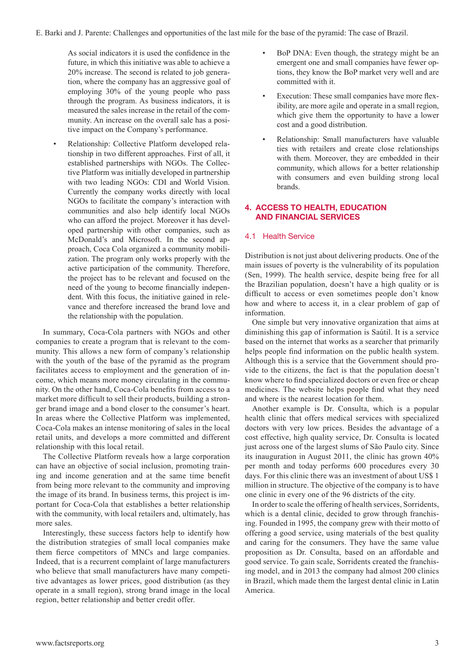As social indicators it is used the confidence in the future, in which this initiative was able to achieve a 20% increase. The second is related to job generation, where the company has an aggressive goal of employing 30% of the young people who pass through the program. As business indicators, it is measured the sales increase in the retail of the community. An increase on the overall sale has a positive impact on the Company's performance.

• Relationship: Collective Platform developed relationship in two different approaches. First of all, it established partnerships with NGOs. The Collective Platform was initially developed in partnership with two leading NGOs: CDI and World Vision. Currently the company works directly with local NGOs to facilitate the company's interaction with communities and also help identify local NGOs who can afford the project. Moreover it has developed partnership with other companies, such as McDonald's and Microsoft. In the second approach, Coca Cola organized a community mobilization. The program only works properly with the active participation of the community. Therefore, the project has to be relevant and focused on the need of the young to become financially independent. With this focus, the initiative gained in relevance and therefore increased the brand love and the relationship with the population.

In summary, Coca-Cola partners with NGOs and other companies to create a program that is relevant to the community. This allows a new form of company's relationship with the youth of the base of the pyramid as the program facilitates access to employment and the generation of income, which means more money circulating in the community. On the other hand, Coca-Cola benefits from access to a market more difficult to sell their products, building a stronger brand image and a bond closer to the consumer's heart. In areas where the Collective Platform was implemented, Coca-Cola makes an intense monitoring of sales in the local retail units, and develops a more committed and different relationship with this local retail.

The Collective Platform reveals how a large corporation can have an objective of social inclusion, promoting training and income generation and at the same time benefit from being more relevant to the community and improving the image of its brand. In business terms, this project is important for Coca-Cola that establishes a better relationship with the community, with local retailers and, ultimately, has more sales.

Interestingly, these success factors help to identify how the distribution strategies of small local companies make them fierce competitors of MNCs and large companies. Indeed, that is a recurrent complaint of large manufacturers who believe that small manufacturers have many competitive advantages as lower prices, good distribution (as they operate in a small region), strong brand image in the local region, better relationship and better credit offer.

- BoP DNA: Even though, the strategy might be an emergent one and small companies have fewer options, they know the BoP market very well and are committed with it.
- Execution: These small companies have more flexibility, are more agile and operate in a small region, which give them the opportunity to have a lower cost and a good distribution.
- Relationship: Small manufacturers have valuable ties with retailers and create close relationships with them. Moreover, they are embedded in their community, which allows for a better relationship with consumers and even building strong local brands.

#### **4. ACCESS TO HEALTH, EDUCATION AND FINANCIAL SERVICES**

#### 4.1 Health Service

Distribution is not just about delivering products. One of the main issues of poverty is the vulnerability of its population (Sen, 1999). The health service, despite being free for all the Brazilian population, doesn't have a high quality or is difficult to access or even sometimes people don't know how and where to access it, in a clear problem of gap of information.

One simple but very innovative organization that aims at diminishing this gap of information is Saútil. It is a service based on the internet that works as a searcher that primarily helps people find information on the public health system. Although this is a service that the Government should provide to the citizens, the fact is that the population doesn't know where to find specialized doctors or even free or cheap medicines. The website helps people find what they need and where is the nearest location for them.

Another example is Dr. Consulta, which is a popular health clinic that offers medical services with specialized doctors with very low prices. Besides the advantage of a cost effective, high quality service, Dr. Consulta is located just across one of the largest slums of São Paulo city. Since its inauguration in August 2011, the clinic has grown 40% per month and today performs 600 procedures every 30 days. For this clinic there was an investment of about US\$ 1 million in structure. The objective of the company is to have one clinic in every one of the 96 districts of the city.

In order to scale the offering of health services, Sorridents, which is a dental clinic, decided to grow through franchising. Founded in 1995, the company grew with their motto of offering a good service, using materials of the best quality and caring for the consumers. They have the same value proposition as Dr. Consulta, based on an affordable and good service. To gain scale, Sorridents created the franchising model, and in 2013 the company had almost 200 clinics in Brazil, which made them the largest dental clinic in Latin America.